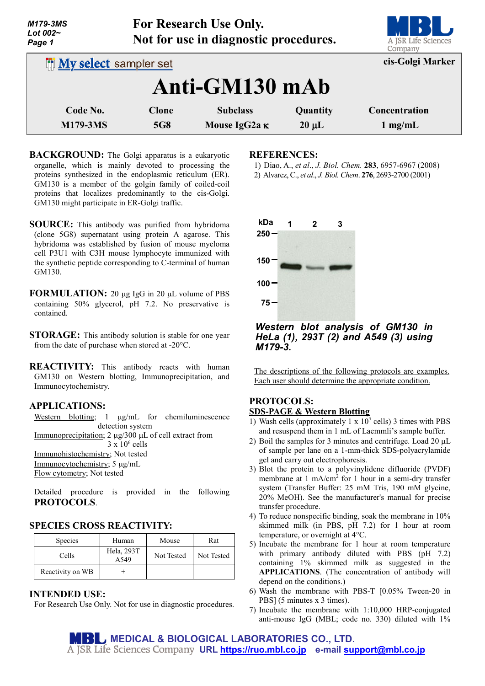| M179-3MS<br>Lot $002-$<br>Page 1 |                              | For Research Use Only.<br>Not for use in diagnostic procedures. |            | A JSR Life Sciences<br>Company |  |  |
|----------------------------------|------------------------------|-----------------------------------------------------------------|------------|--------------------------------|--|--|
|                                  | <b>My select sampler set</b> |                                                                 |            | cis-Golgi Marker               |  |  |
| Anti-GM130 mAb                   |                              |                                                                 |            |                                |  |  |
| Code No.                         | <b>Clone</b>                 | <b>Subclass</b>                                                 | Quantity   | Concentration                  |  |  |
| <b>M179-3MS</b>                  | <b>5G8</b>                   | Mouse IgG2a K                                                   | $20 \mu L$ | $1$ mg/mL                      |  |  |

- **BACKGROUND:** The Golgi apparatus is a eukaryotic organelle, which is mainly devoted to processing the proteins synthesized in the endoplasmic reticulum (ER). GM130 is a member of the golgin family of coiled-coil proteins that localizes predominantly to the cis-Golgi. GM130 might participate in ER-Golgi traffic.
- **SOURCE:** This antibody was purified from hybridoma (clone 5G8) supernatant using protein A agarose. This hybridoma was established by fusion of mouse myeloma cell P3U1 with C3H mouse lymphocyte immunized with the synthetic peptide corresponding to C-terminal of human GM130.
- **FORMULATION:** 20 µg IgG in 20 µL volume of PBS containing 50% glycerol, pH 7.2. No preservative is contained.
- **STORAGE:** This antibody solution is stable for one year from the date of purchase when stored at -20°C.
- **REACTIVITY:** This antibody reacts with human GM130 on Western blotting, Immunoprecipitation, and Immunocytochemistry.

## **APPLICATIONS:**

Western blotting; 1  $\mu$ g/mL for chemiluminescence detection system

Immunoprecipitation; 2 µg/300 µL of cell extract from  $3 \times 10^6$  cells

Immunohistochemistry; Not tested

Immunocytochemistry; 5 µg/mL

Flow cytometry; Not tested

Detailed procedure is provided in the following **PROTOCOLS**.

## **SPECIES CROSS REACTIVITY:**

| <b>Species</b>   | Human              | Mouse      | Rat        |
|------------------|--------------------|------------|------------|
| Cells            | Hela, 293T<br>A549 | Not Tested | Not Tested |
| Reactivity on WB |                    |            |            |

## **INTENDED USE:**

For Research Use Only. Not for use in diagnostic procedures.

#### **REFERENCES:**

- 1) Diao, A., *et al*., *J. Biol. Chem.* **283**, 6957-6967 (2008) 2) Alvarez, C., *et al*., *J. Biol. Chem*. **276**, 2693-2700 (2001)
- 



## *Western blot analysis of GM130 in HeLa (1), 293T (2) and A549 (3) using M179-3.*

The descriptions of the following protocols are examples. Each user should determine the appropriate condition.

# **PROTOCOLS:**

- **SDS-PAGE & Western Blotting**
- 1) Wash cells (approximately  $1 \times 10^7$  cells) 3 times with PBS and resuspend them in 1 mL of Laemmli's sample buffer.
- 2) Boil the samples for 3 minutes and centrifuge. Load 20  $\mu$ L of sample per lane on a 1-mm-thick SDS-polyacrylamide gel and carry out electrophoresis.
- 3) Blot the protein to a polyvinylidene difluoride (PVDF) membrane at 1 mA/cm<sup>2</sup> for 1 hour in a semi-dry transfer system (Transfer Buffer: 25 mM Tris, 190 mM glycine, 20% MeOH). See the manufacturer's manual for precise transfer procedure.
- 4) To reduce nonspecific binding, soak the membrane in 10% skimmed milk (in PBS, pH 7.2) for 1 hour at room temperature, or overnight at 4°C.
- 5) Incubate the membrane for 1 hour at room temperature with primary antibody diluted with PBS (pH 7.2) containing 1% skimmed milk as suggested in the **APPLICATIONS**. (The concentration of antibody will depend on the conditions.)
- 6) Wash the membrane with PBS-T [0.05% Tween-20 in PBS] (5 minutes x 3 times).
- 7) Incubate the membrane with 1:10,000 HRP-conjugated anti-mouse IgG (MBL; code no. 330) diluted with 1%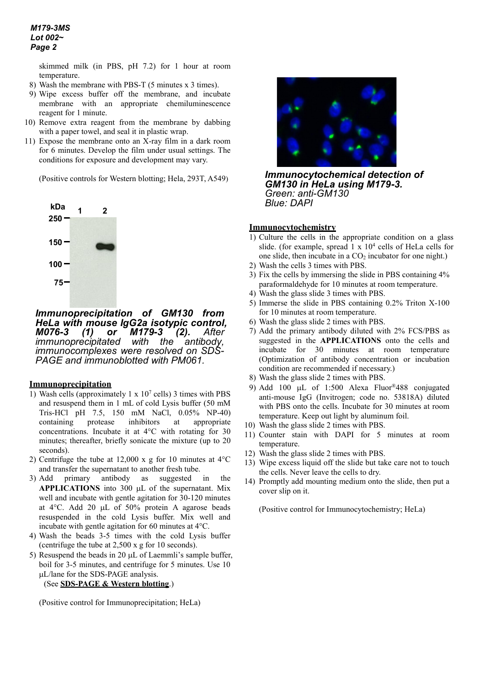skimmed milk (in PBS, pH 7.2) for 1 hour at room temperature.

- 8) Wash the membrane with PBS-T (5 minutes x 3 times).
- 9) Wipe excess buffer off the membrane, and incubate membrane with an appropriate chemiluminescence reagent for 1 minute.
- 10) Remove extra reagent from the membrane by dabbing with a paper towel, and seal it in plastic wrap.
- 11) Expose the membrane onto an X-ray film in a dark room for 6 minutes. Develop the film under usual settings. The conditions for exposure and development may vary.

(Positive controls for Western blotting; Hela, 293T, A549)



*Immunoprecipitation of GM130 from HeLa with mouse IgG2a isotypic control, M179-3 (2). After*<br>*with the antibody, immunoprecipitated with the antibody, immunocomplexes were resolved on SDS- PAGE and immunoblotted with PM061.* 

#### **Immunoprecipitation**

- 1) Wash cells (approximately 1 x  $10<sup>7</sup>$  cells) 3 times with PBS and resuspend them in 1 mL of cold Lysis buffer (50 mM Tris-HCl pH 7.5, 150 mM NaCl, 0.05% NP-40) containing protease inhibitors at appropriate concentrations. Incubate it at 4°C with rotating for 30 minutes; thereafter, briefly sonicate the mixture (up to 20 seconds).
- 2) Centrifuge the tube at 12,000 x g for 10 minutes at  $4^{\circ}$ C and transfer the supernatant to another fresh tube.
- 3) Add primary antibody as suggested in the **APPLICATIONS** into 300 µL of the supernatant. Mix well and incubate with gentle agitation for 30-120 minutes at 4°C. Add 20 µL of 50% protein A agarose beads resuspended in the cold Lysis buffer. Mix well and incubate with gentle agitation for 60 minutes at 4°C.
- 4) Wash the beads 3-5 times with the cold Lysis buffer (centrifuge the tube at 2,500 x g for 10 seconds).
- 5) Resuspend the beads in 20  $\mu$ L of Laemmli's sample buffer, boil for 3-5 minutes, and centrifuge for 5 minutes. Use 10 µL/lane for the SDS-PAGE analysis.

```
(See SDS-PAGE & Western blotting.)
```
(Positive control for Immunoprecipitation; HeLa)



*Immunocytochemical detection of GM130 in HeLa using M179-3. Green: anti-GM130 Blue: DAPI* 

## **Immunocytochemistry**

- 1) Culture the cells in the appropriate condition on a glass slide. (for example, spread  $1 \times 10^4$  cells of HeLa cells for one slide, then incubate in a  $CO<sub>2</sub>$  incubator for one night.)
- 2) Wash the cells 3 times with PBS.
- 3) Fix the cells by immersing the slide in PBS containing 4% paraformaldehyde for 10 minutes at room temperature.
- 4) Wash the glass slide 3 times with PBS.
- 5) Immerse the slide in PBS containing 0.2% Triton X-100 for 10 minutes at room temperature.
- 6) Wash the glass slide 2 times with PBS.
- 7) Add the primary antibody diluted with 2% FCS/PBS as suggested in the **APPLICATIONS** onto the cells and incubate for 30 minutes at room temperature (Optimization of antibody concentration or incubation condition are recommended if necessary.)
- 8) Wash the glass slide 2 times with PBS.
- 9) Add 100 µL of 1:500 Alexa Fluor®488 conjugated anti-mouse IgG (Invitrogen; code no. 53818A) diluted with PBS onto the cells. Incubate for 30 minutes at room temperature. Keep out light by aluminum foil.
- 10) Wash the glass slide 2 times with PBS.
- 11) Counter stain with DAPI for 5 minutes at room temperature.
- 12) Wash the glass slide 2 times with PBS.
- 13) Wipe excess liquid off the slide but take care not to touch the cells. Never leave the cells to dry.
- 14) Promptly add mounting medium onto the slide, then put a cover slip on it.

(Positive control for Immunocytochemistry; HeLa)